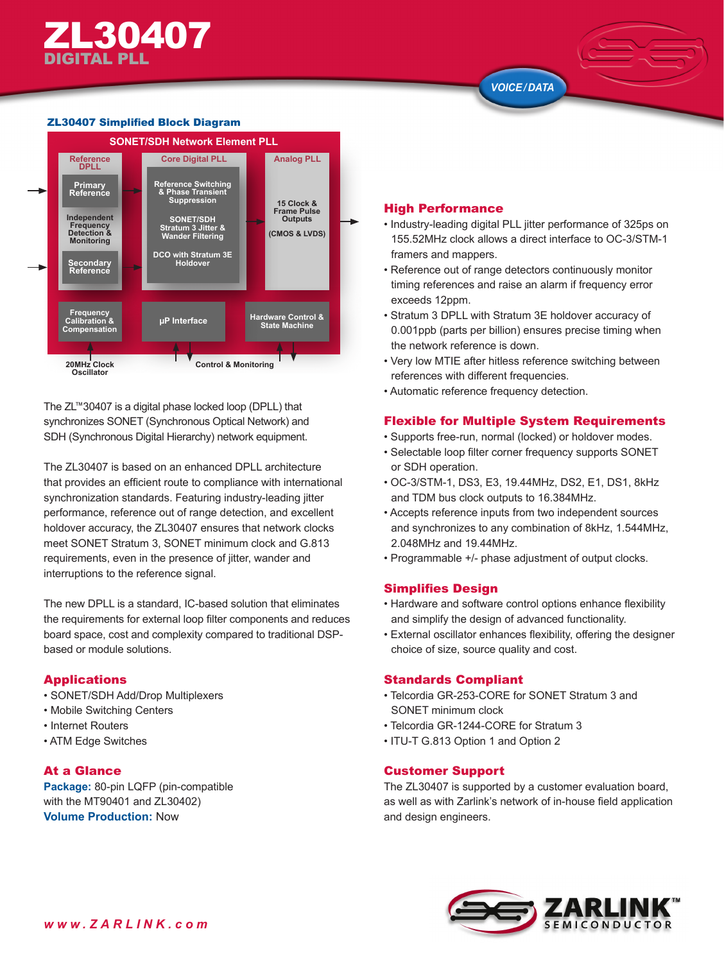#### ZL30407 Simplified Block Diagram



The ZL™30407 is a digital phase locked loop (DPLL) that synchronizes SONET (Synchronous Optical Network) and SDH (Synchronous Digital Hierarchy) network equipment.

The ZL30407 is based on an enhanced DPLL architecture that provides an efficient route to compliance with international synchronization standards. Featuring industry-leading jitter performance, reference out of range detection, and excellent holdover accuracy, the ZL30407 ensures that network clocks meet SONET Stratum 3, SONET minimum clock and G.813 requirements, even in the presence of jitter, wander and interruptions to the reference signal.

The new DPLL is a standard, IC-based solution that eliminates the requirements for external loop filter components and reduces board space, cost and complexity compared to traditional DSPbased or module solutions.

# Applications

- SONET/SDH Add/Drop Multiplexers
- Mobile Switching Centers
- Internet Routers
- ATM Edge Switches

# At a Glance

**Package:** 80-pin LQFP (pin-compatible with the MT90401 and ZL30402) **Volume Production:** Now

## High Performance

- Industry-leading digital PLL jitter performance of 325ps on 155.52MHz clock allows a direct interface to OC-3/STM-1 framers and mappers.
- Reference out of range detectors continuously monitor timing references and raise an alarm if frequency error exceeds 12ppm.
- Stratum 3 DPLL with Stratum 3E holdover accuracy of 0.001ppb (parts per billion) ensures precise timing when the network reference is down.
- Very low MTIE after hitless reference switching between references with different frequencies.
- Automatic reference frequency detection.

# Flexible for Multiple System Requirements

- Supports free-run, normal (locked) or holdover modes.
- Selectable loop filter corner frequency supports SONET or SDH operation.
- OC-3/STM-1, DS3, E3, 19.44MHz, DS2, E1, DS1, 8kHz and TDM bus clock outputs to 16.384MHz.
- Accepts reference inputs from two independent sources and synchronizes to any combination of 8kHz, 1.544MHz, 2.048MHz and 19.44MHz.
- Programmable +/- phase adjustment of output clocks.

# Simplifies Design

- Hardware and software control options enhance flexibility and simplify the design of advanced functionality.
- External oscillator enhances flexibility, offering the designer choice of size, source quality and cost.

### Standards Compliant

- Telcordia GR-253-CORE for SONET Stratum 3 and SONET minimum clock
- Telcordia GR-1244-CORE for Stratum 3
- ITU-T G.813 Option 1 and Option 2

### Customer Support

The ZL30407 is supported by a customer evaluation board, as well as with Zarlink's network of in-house field application and design engineers.